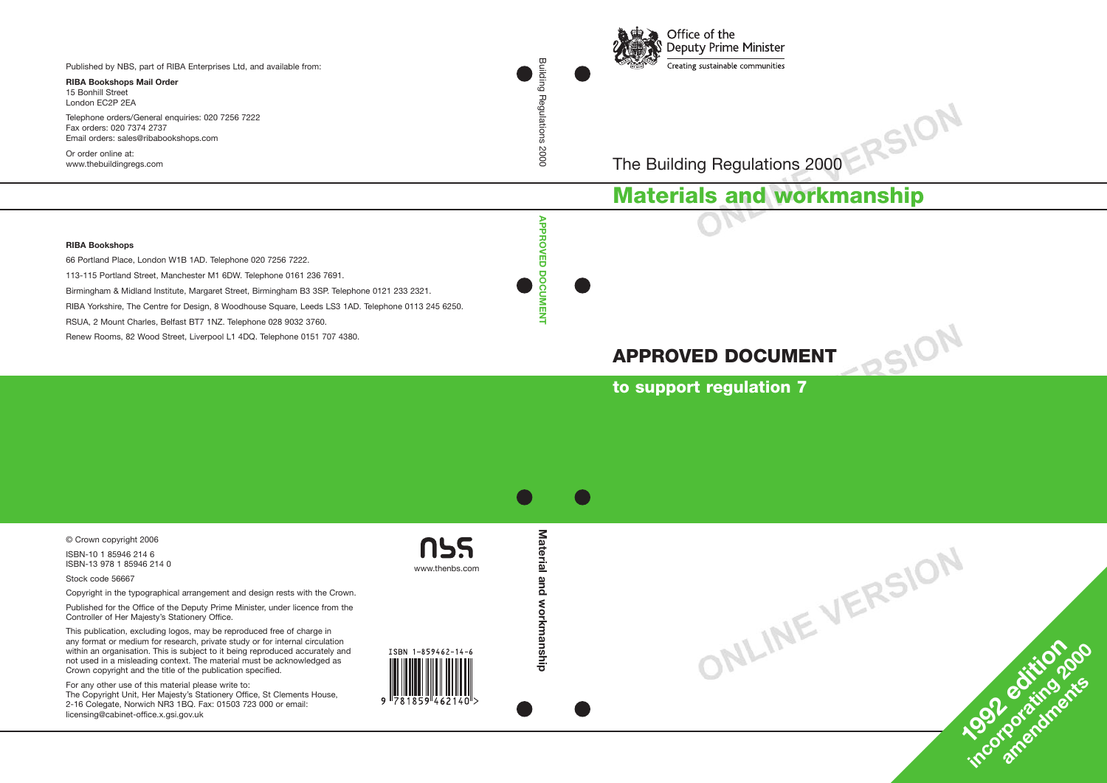

The Building Regulations 2000

# **Materials and workmanship**

## **APPROVED DOCUMENT**

### **to support regulation 7**



RSION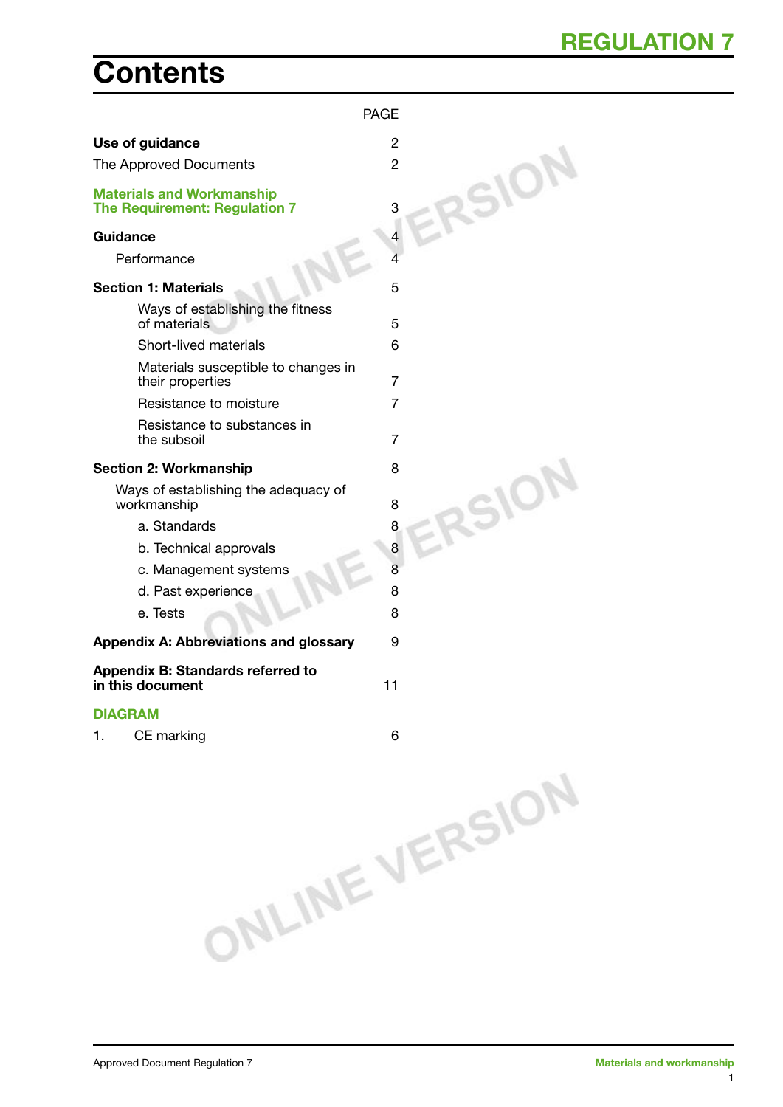### **REGULATION 7**

# **Contents**

|                                                                          | <b>PAGE</b>       |
|--------------------------------------------------------------------------|-------------------|
| Use of guidance                                                          | $\overline{c}$    |
| The Approved Documents                                                   | $\overline{2}$    |
| <b>Materials and Workmanship</b><br><b>The Requirement: Regulation 7</b> | RSION<br>3        |
| <b>Guidance</b>                                                          | 4                 |
| Performance                                                              | 4                 |
| <b>Section 1: Materials</b>                                              | 5                 |
| Ways of establishing the fitness<br>of materials                         | 5                 |
| Short-lived materials                                                    | 6                 |
| Materials susceptible to changes in<br>their properties                  | 7                 |
| Resistance to moisture                                                   | 7                 |
| Resistance to substances in<br>the subsoil                               | $\overline{7}$    |
| <b>Section 2: Workmanship</b>                                            | 8                 |
| Ways of establishing the adequacy of<br>workmanship                      | <b>2SIOR</b><br>8 |
| a. Standards                                                             | 8                 |
| b. Technical approvals                                                   | 8                 |
| c. Management systems                                                    | 8                 |
| d. Past experience                                                       | 8                 |
| e. Tests                                                                 | 8                 |
| Appendix A: Abbreviations and glossary                                   | 9                 |
| <b>Appendix B: Standards referred to</b><br>in this document             | 11                |
| <b>DIAGRAM</b>                                                           |                   |
|                                                                          |                   |

1. CE marking 6<br>ONLINE VERSION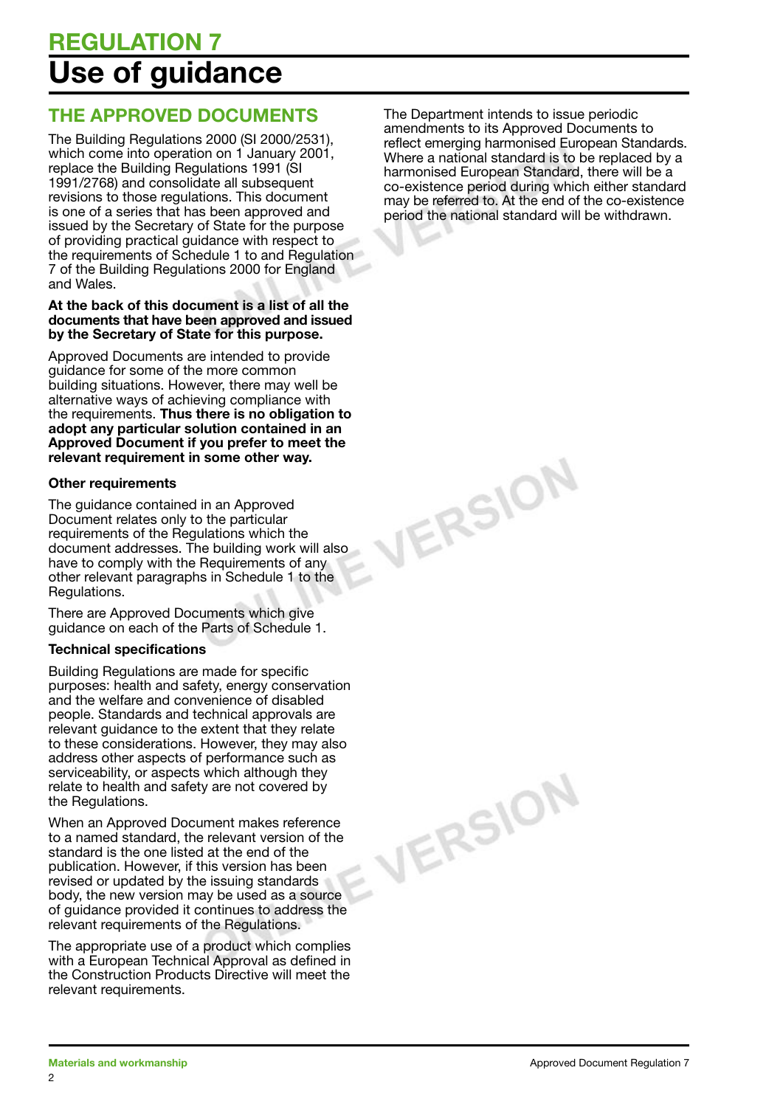### **REGULATION 7 Use of guidance**

### **THE APPROVED DOCUMENTS**

The Building Regulations 2000 (SI 2000/2531), which come into operation on 1 January 2001, replace the Building Regulations 1991 (SI 1991/2768) and consolidate all subsequent revisions to those regulations. This document is one of a series that has been approved and issued by the Secretary of State for the purpose of providing practical guidance with respect to the requirements of Schedule 1 to and Regulation 7 of the Building Regulations 2000 for England and Wales.

#### **At the back of this document is a list of all the documents that have been approved and issued by the Secretary of State for this purpose.**

Approved Documents are intended to provide guidance for some of the more common building situations. However, there may well be alternative ways of achieving compliance with the requirements. **Thus there is no obligation to adopt any particular solution contained in an Approved Document if you prefer to meet the relevant requirement in some other way.**

#### **Other requirements**

The guidance contained in an Approved Document relates only to the particular requirements of the Regulations which the document addresses. The building work will also have to comply with the Requirements of any other relevant paragraphs in Schedule 1 to the Regulations.

There are Approved Documents which give guidance on each of the Parts of Schedule 1.

#### **Technical specifications**

Building Regulations are made for specific purposes: health and safety, energy conservation and the welfare and convenience of disabled people. Standards and technical approvals are relevant guidance to the extent that they relate to these considerations. However, they may also address other aspects of performance such as serviceability, or aspects which although they relate to health and safety are not covered by the Regulations.

When an Approved Document makes reference to a named standard, the relevant version of the standard is the one listed at the end of the publication. However, if this version has been revised or updated by the issuing standards body, the new version may be used as a source of guidance provided it continues to address the relevant requirements of the Regulations.

The appropriate use of a product which complies with a European Technical Approval as defined in the [Construction Products Directive](http://www.theBuildingRegs.com/RefDocs/CIS/Lookup.asp?AccessionNo=261105REG) will meet the relevant requirements.

The Department intends to issue periodic amendments to its Approved Documents to reflect emerging harmonised European Standards. Where a national standard is to be replaced by a harmonised European Standard, there will be a co-existence period during which either standard may be referred to. At the end of the co-existence period the national standard will be withdrawn.

VERSION

VERSION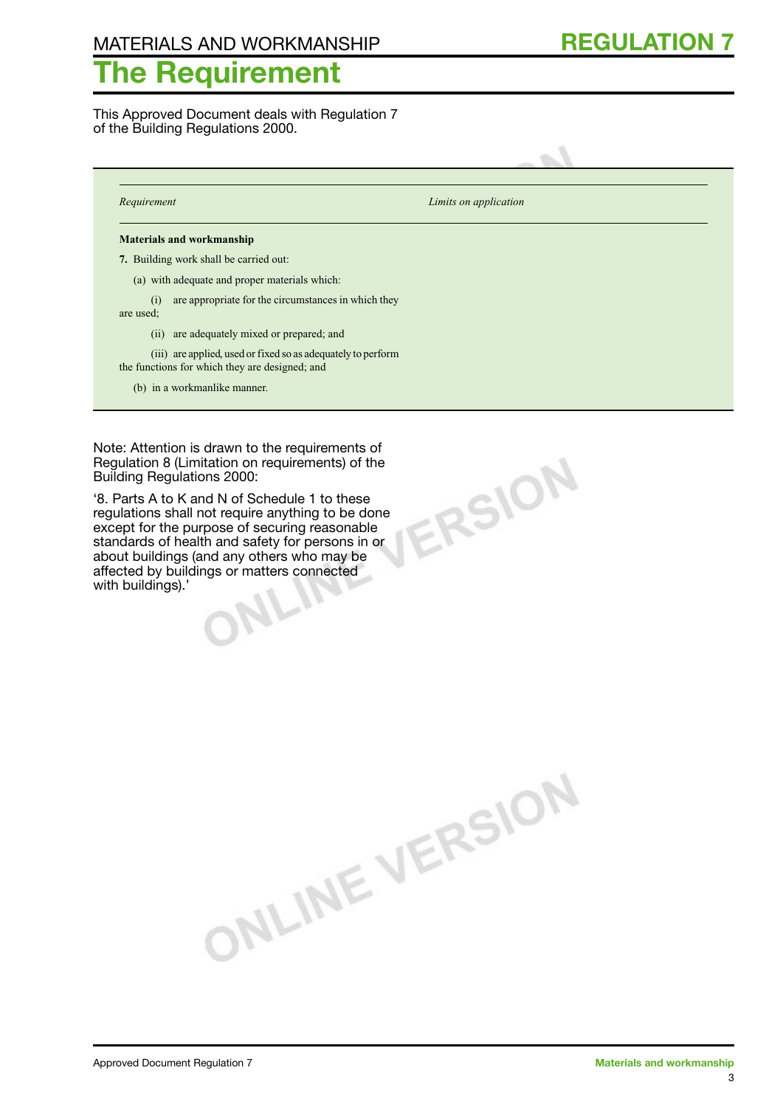# **The Requirement**

#### This Approved Document deals with Regulation 7 of the Building Regulations 2000.

*Requirement Limits**on**application* **<b>***Limits on application* 

ERSION

#### **Materials and workmanship**

**7.** Building work shall be carried out:

(a) with adequate and proper materials which:

(i) are appropriate for the circumstances in which they

are used;

(ii) are adequately mixed or prepared; and

 (iii) are applied, used orfixed so as adequately to perform the functions for which they are designed; and

(b) in a workmanlike manner.

Note: Attention is drawn to the requirements of Regulation 8 (Limitation on requirements) of the Building Regulations 2000:

'8. Parts A to K and N of Schedule 1 to these regulations shall not require anything to be done except for the purpose of securing reasonable standards of health and safety for persons in or about buildings (and any others who may be affected by buildings or matters connected with buildings).' NLI

ONLINE VERSION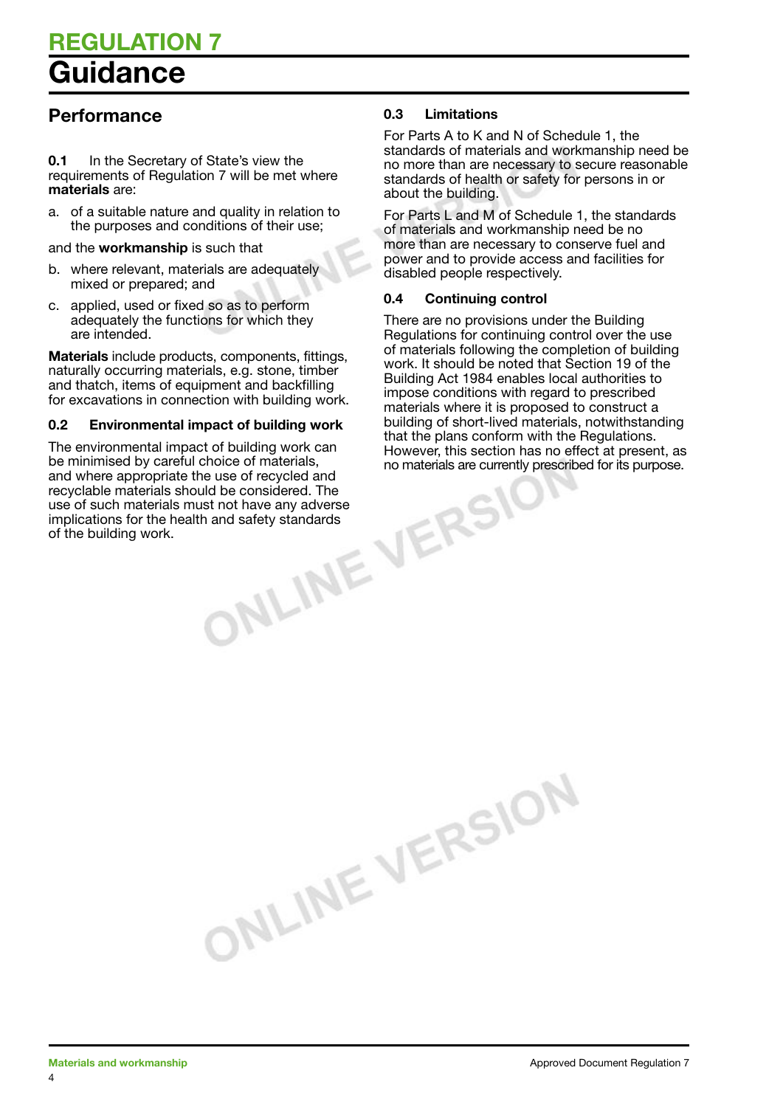### **Performance**

**0.1** In the Secretary of State's view the requirements of Regulation 7 will be met where **materials** are:

a. of a suitable nature and quality in relation to the purposes and conditions of their use;

and the **workmanship** is such that

- b. where relevant, materials are adequately mixed or prepared; and
- c. applied, used or fixed so as to perform adequately the functions for which they are intended.

**Materials** include products, components, fittings, naturally occurring materials, e.g. stone, timber and thatch, items of equipment and backfilling for excavations in connection with building work.

#### **0.2 Environmental impact of building work**

The environmental impact of building work can<br>be minimised by careful choice of materials,<br>and where appropriate the use of recycled and<br>use of such materials should be considered. The<br>use of such materials must not have a be minimised by careful choice of materials, and where appropriate the use of recycled and recyclable materials should be considered. The use of such materials must not have any adverse implications for the health and safety standards of the building work.

#### **0.3 Limitations**

For Parts A to K and N of Schedule 1, the standards of materials and workmanship need be no more than are necessary to secure reasonable standards of health or safety for persons in or about the building.

For Parts L and M of Schedule 1, the standards of materials and workmanship need be no more than are necessary to conserve fuel and power and to provide access and facilities for disabled people respectively.

#### **0.4 Continuing control**

There are no provisions under the Building Regulations for continuing control over the use of materials following the completion of building work. It should be noted that Section 19 of the Building Act 1984 enables local authorities to impose conditions with regard to prescribed materials where it is proposed to construct a building of short-lived materials, notwithstanding that the plans conform with the Regulations. However, this section has no effect at present, as no materials are currently prescribed for its purpose.

ONLINE VERSION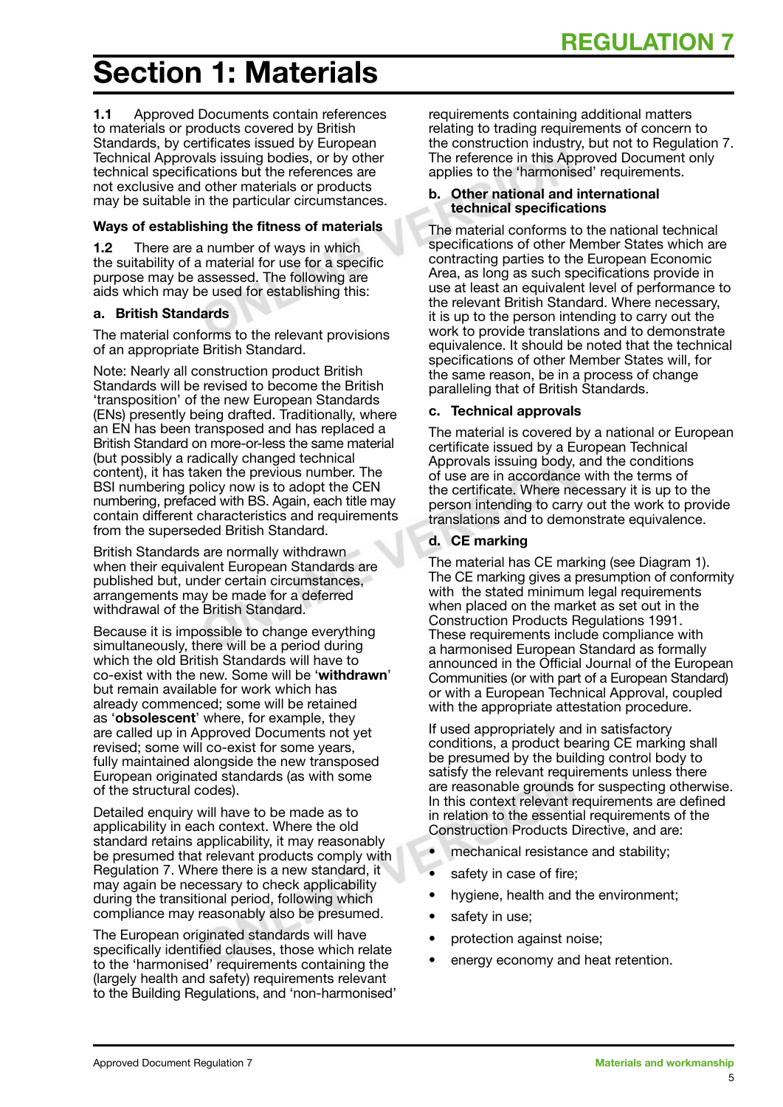# **Section 1: Materials**

**1.1** Approved Documents contain references to materials or products covered by British Standards, by certificates issued by European Technical Approvals issuing bodies, or by other technical specifications but the references are not exclusive and other materials or products may be suitable in the particular circumstances.

#### **Ways of establishing the fitness of materials**

**1.2** There are a number of ways in which the suitability of a material for use for a specific purpose may be assessed. The following are aids which may be used for establishing this:

#### **a. British Standards**

The material conforms to the relevant provisions of an appropriate British Standard.

Note: Nearly all construction product British Standards will be revised to become the British 'transposition' of the new European Standards (ENs) presently being drafted. Traditionally, where an EN has been transposed and has replaced a British Standard on more-or-less the same material (but possibly a radically changed technical content), it has taken the previous number. The BSI numbering policy now is to adopt the CEN numbering, prefaced with BS. Again, each title may contain different characteristics and requirements from the superseded British Standard.

British Standards are normally withdrawn when their equivalent European Standards are published but, under certain circumstances, arrangements may be made for a deferred withdrawal of the British Standard.

Because it is impossible to change everything simultaneously, there will be a period during which the old British Standards will have to co-exist with the new. Some will be '**withdrawn**' but remain available for work which has already commenced; some will be retained as '**obsolescent**' where, for example, they are called up in Approved Documents not yet revised; some will co-exist for some years, fully maintained alongside the new transposed European originated standards (as with some of the structural codes).

Detailed enquiry will have to be made as to applicability in each context. Where the old standard retains applicability, it may reasonably be presumed that relevant products comply with Regulation 7. Where there is a new standard, it may again be necessary to check applicability during the transitional period, following which compliance may reasonably also be presumed.

The European originated standards will have specifically identified clauses, those which relate to the 'harmonised' requirements containing the (largely health and safety) requirements relevant to the Building Regulations, and 'non-harmonised' requirements containing additional matters relating to trading requirements of concern to the construction industry, but not to Regulation 7. The reference in this Approved Document only applies to the 'harmonised' requirements.

#### **b. Other national and international technical specifications**

The material conforms to the national technical specifications of other Member States which are contracting parties to the European Economic Area, as long as such specifications provide in use at least an equivalent level of performance to the relevant British Standard. Where necessary, it is up to the person intending to carry out the work to provide translations and to demonstrate equivalence. It should be noted that the technical specifications of other Member States will, for the same reason, be in a process of change paralleling that of British Standards.

#### **c. Technical approvals**

The material is covered by a national or European certificate issued by a European Technical Approvals issuing body, and the conditions of use are in accordance with the terms of the certificate. Where necessary it is up to the person intending to carry out the work to provide translations and to demonstrate equivalence.

#### **d. CE marking**

The material has CE marking (see Diagram 1). The CE marking gives a presumption of conformity with the stated minimum legal requirements when placed on the market as set out in the Construction Products Regulations 1991. These requirements include compliance with a harmonised European Standard as formally announced in the Official Journal of the European Communities (or with part of a European Standard) or with a European Technical Approval, coupled with the appropriate attestation procedure.

If used appropriately and in satisfactory conditions, a product bearing CE marking shall be presumed by the building control body to satisfy the relevant requirements unless there are reasonable grounds for suspecting otherwise. In this context relevant requirements are defined in relation to the essential requirements of the Construction Products Directive, and are:

- mechanical resistance and stability;
- safety in case of fire;
- hygiene, health and the environment;
- safety in use;
- protection against noise;
- energy economy and heat retention.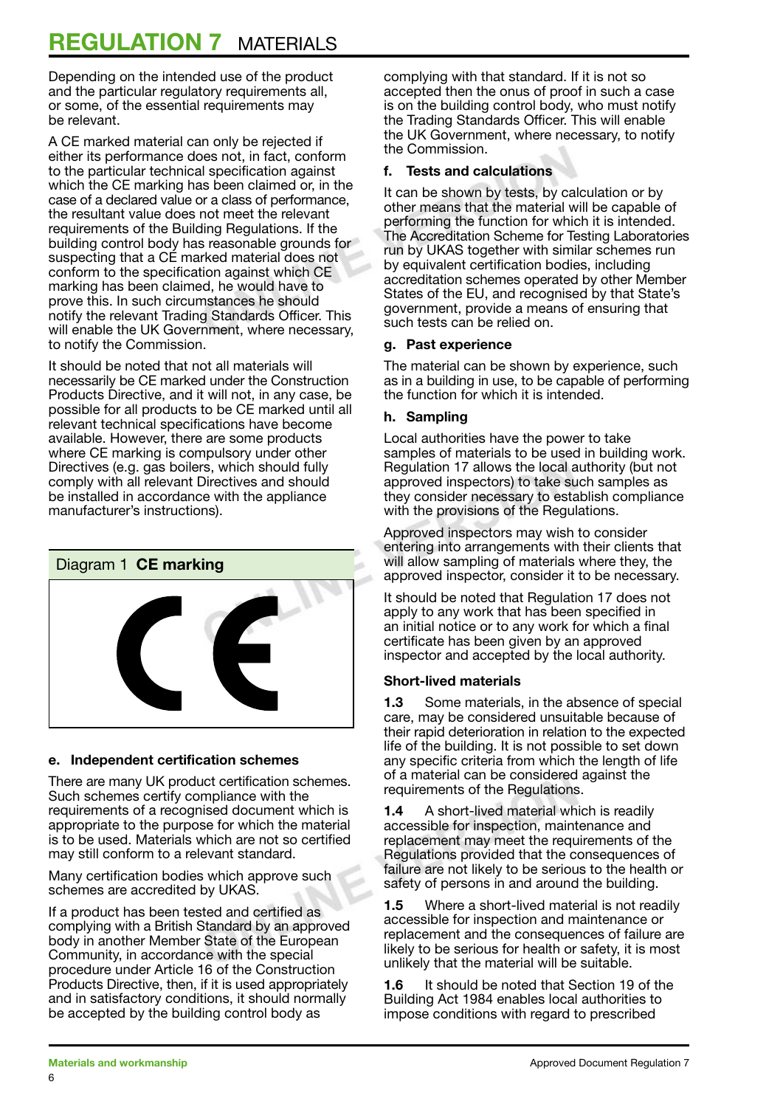Depending on the intended use of the product and the particular regulatory requirements all, or some, of the essential requirements may be relevant.

A CE marked material can only be rejected if either its performance does not, in fact, conform to the particular technical specification against which the CE marking has been claimed or, in the case of a declared value or a class of performance, the resultant value does not meet the relevant requirements of the Building Regulations. If the building control body has reasonable grounds for suspecting that a CE marked material does not conform to the specification against which CE marking has been claimed, he would have to prove this. In such circumstances he should notify the relevant Trading Standards Officer. This will enable the UK Government, where necessary, to notify the Commission.

It should be noted that not all materials will necessarily be CE marked under the Construction Products Directive, and it will not, in any case, be possible for all products to be CE marked until all relevant technical specifications have become available. However, there are some products where CE marking is compulsory under other Directives (e.g. gas boilers, which should fully comply with all relevant Directives and should be installed in accordance with the appliance manufacturer's instructions).



### **e. Independent certification schemes**

There are many UK product certification schemes. Such schemes certify compliance with the requirements of a recognised document which is appropriate to the purpose for which the material is to be used. Materials which are not so certified may still conform to a relevant standard.

Many certification bodies which approve such schemes are accredited by UKAS.

If a product has been tested and certified as complying with a British Standard by an approved body in another Member State of the European Community, in accordance with the special procedure under Article 16 of the Construction Products Directive, then, if it is used appropriately and in satisfactory conditions, it should normally be accepted by the building control body as

complying with that standard. If it is not so accepted then the onus of proof in such a case is on the building control body, who must notify the Trading Standards Officer. This will enable the UK Government, where necessary, to notify the Commission.

#### **f. Tests and calculations**

It can be shown by tests, by calculation or by other means that the material will be capable of performing the function for which it is intended. The Accreditation Scheme for Testing Laboratories run by UKAS together with similar schemes run by equivalent certification bodies, including accreditation schemes operated by other Member States of the EU, and recognised by that State's government, provide a means of ensuring that such tests can be relied on.

#### **g. Past experience**

The material can be shown by experience, such as in a building in use, to be capable of performing the function for which it is intended.

#### **h. Sampling**

Local authorities have the power to take samples of materials to be used in building work. Regulation 17 allows the local authority (but not approved inspectors) to take such samples as they consider necessary to establish compliance with the provisions of the Regulations.

Approved inspectors may wish to consider entering into arrangements with their clients that will allow sampling of materials where they, the approved inspector, consider it to be necessary.

It should be noted that Regulation 17 does not apply to any work that has been specified in an initial notice or to any work for which a final certificate has been given by an approved inspector and accepted by the local authority.

#### **Short-lived materials**

**1.3** Some materials, in the absence of special care, may be considered unsuitable because of their rapid deterioration in relation to the expected life of the building. It is not possible to set down any specific criteria from which the length of life of a material can be considered against the requirements of the Regulations.

**1.4** A short-lived material which is readily accessible for inspection, maintenance and replacement may meet the requirements of the Regulations provided that the consequences of failure are not likely to be serious to the health or safety of persons in and around the building.

**1.5** Where a short-lived material is not readily accessible for inspection and maintenance or replacement and the consequences of failure are likely to be serious for health or safety, it is most unlikely that the material will be suitable.

**1.6** It should be noted that Section 19 of the Building Act 1984 enables local authorities to impose conditions with regard to prescribed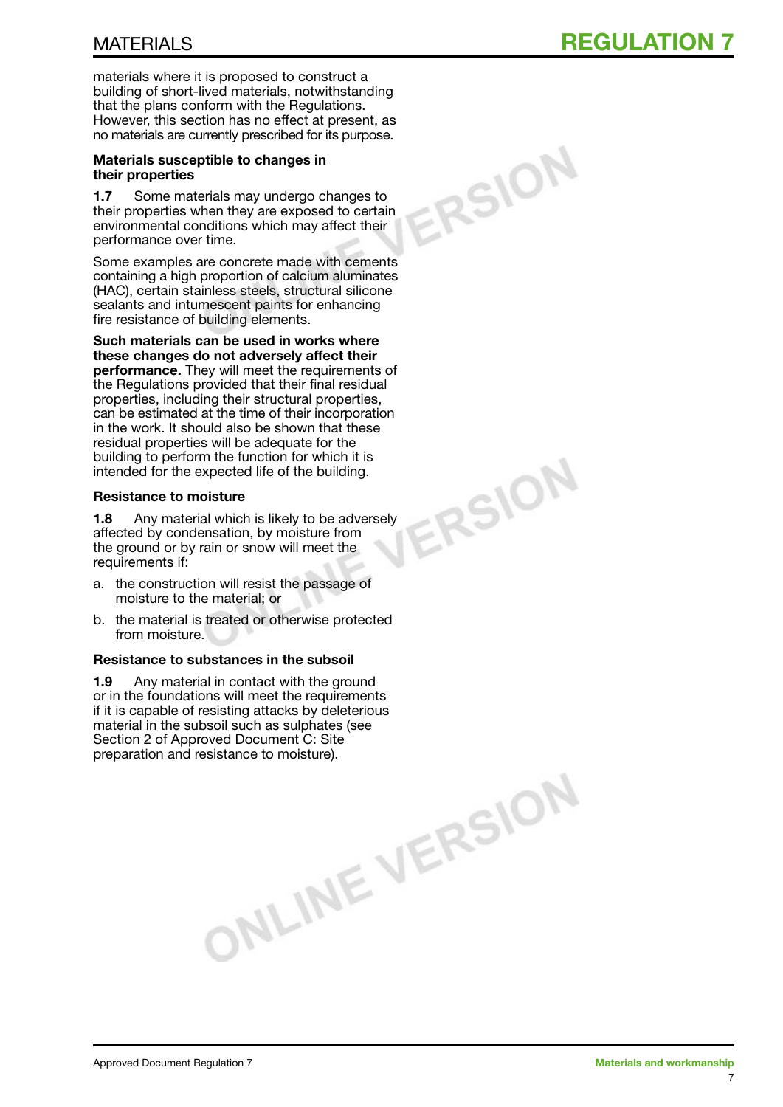materials where it is proposed to construct a building of short-lived materials, notwithstanding that the plans conform with the Regulations. However, this section has no effect at present, as no materials are currently prescribed for its purpose.

#### **Materials susceptible to changes in their properties**

**1.7** Some materials may undergo changes to their properties when they are exposed to certain environmental conditions which may affect their performance over time.

Some examples are concrete made with cements containing a high proportion of calcium aluminates (HAC), certain stainless steels, structural silicone sealants and intumescent paints for enhancing fire resistance of building elements.

**Such materials can be used in works where these changes do not adversely affect their performance.** They will meet the requirements of the Regulations provided that their final residual properties, including their structural properties, can be estimated at the time of their incorporation in the work. It should also be shown that these residual properties will be adequate for the building to perform the function for which it is intended for the expected life of the building.

#### **Resistance to moisture**

**1.8** Any material which is likely to be adversely affected by condensation, by moisture from the ground or by rain or snow will meet the requirements if:

- a. the construction will resist the passage of moisture to the material; or
- b. the material is treated or otherwise protected from moisture.

#### **Resistance to substances in the subsoil**

**1.9** Any material in contact with the ground or in the foundations will meet the requirements if it is capable of resisting attacks by deleterious material in the subsoil such as sulphates (see Section 2 of Approved Document C: Site preparation and resistance to moisture).<br>
AND THE VERSION

ERSION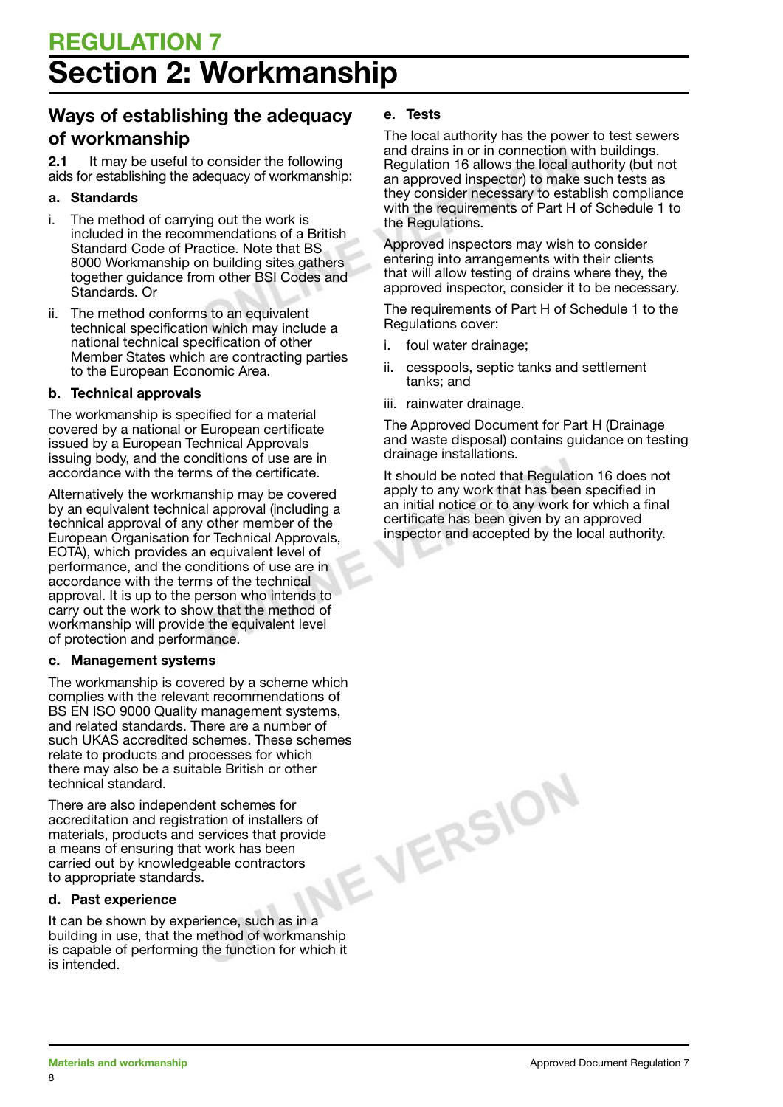### **Ways of establishing the adequacy of workmanship**

**2.1** It may be useful to consider the following aids for establishing the adequacy of workmanship:

#### **a. Standards**

- i. The method of carrying out the work is included in the recommendations of a British Standard Code of Practice. Note that [BS](http://www.theBuildingRegs.com/RefDocs/CIS/Lookup.asp?AccessionNo=15199XXREG)  [8000](http://www.theBuildingRegs.com/RefDocs/CIS/Lookup.asp?AccessionNo=15199XXREG) Workmanship on building sites gathers together guidance from other BSI Codes and Standards. Or
- ii. The method conforms to an equivalent technical specification which may include a national technical specification of other Member States which are contracting parties to the European Economic Area.

#### **b. Technical approvals**

The workmanship is specified for a material covered by a national or European certificate issued by a European Technical Approvals issuing body, and the conditions of use are in accordance with the terms of the certificate.

Alternatively the workmanship may be covered by an equivalent technical approval (including a technical approval of any other member of the European Organisation for Technical Approvals, EOTA), which provides an equivalent level of performance, and the conditions of use are in accordance with the terms of the technical approval. It is up to the person who intends to carry out the work to show that the method of workmanship will provide the equivalent level of protection and performance.

#### **c. Management systems**

The workmanship is covered by a scheme which complies with the relevant recommendations of [BS EN ISO 9000](http://www.theBuildingRegs.com/RefDocs/CIS/Lookup.asp?AccessionNo=84270REG) Quality management systems, and related standards. There are a number of such UKAS accredited schemes. These schemes relate to products and processes for which EVERSION there may also be a suitable British or other technical standard.

There are also independent schemes for accreditation and registration of installers of materials, products and services that provide a means of ensuring that work has been carried out by knowledgeable contractors to appropriate standards.

#### **d. Past experience**

It can be shown by experience, such as in a building in use, that the method of workmanship is capable of performing the function for which it is intended.

#### **e. Tests**

The local authority has the power to test sewers and drains in or in connection with buildings. Regulation 16 allows the local authority (but not an approved inspector) to make such tests as they consider necessary to establish compliance with the requirements of Part H of Schedule 1 to the Regulations.

Approved inspectors may wish to consider entering into arrangements with their clients that will allow testing of drains where they, the approved inspector, consider it to be necessary.

The requirements of Part H of Schedule 1 to the Regulations cover:

- i. foul water drainage;
- ii. cesspools, septic tanks and settlement tanks; and
- iii. rainwater drainage.

The Approved Document for Part H (Drainage and waste disposal) contains guidance on testing drainage installations.

It should be noted that Regulation 16 does not apply to any work that has been specified in an initial notice or to any work for which a final certificate has been given by an approved inspector and accepted by the local authority.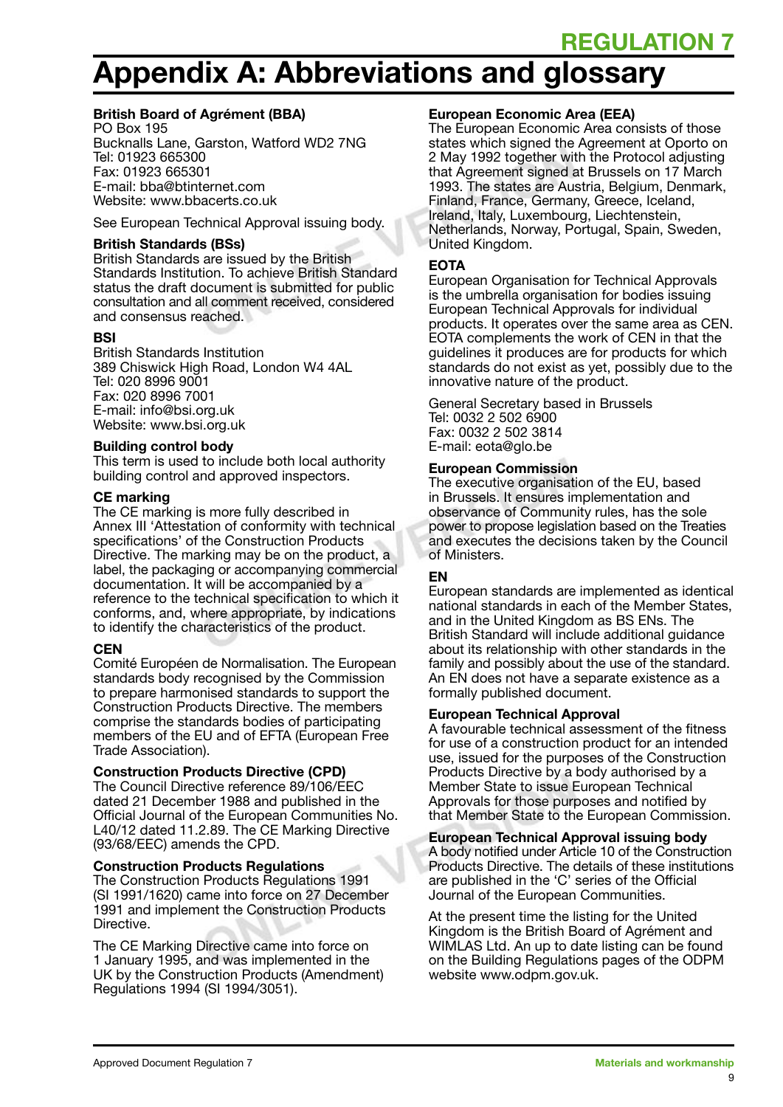# **Appendix A: Abbreviations and glossary**

#### **British Board of Agrément (BBA)**

PO Box 195 Bucknalls Lane, Garston, Watford WD2 7NG Tel: 01923 665300 Fax: 01923 665301 E-mail: bba@btinternet.com Website: www.bbacerts.co.uk

See European Technical Approval issuing body.

#### **British Standards (BSs)**

British Standards are issued by the British Standards Institution. To achieve British Standard status the draft document is submitted for public consultation and all comment received, considered and consensus reached.

#### **BSI**

British Standards Institution 389 Chiswick High Road, London W4 4AL Tel: 020 8996 9001 Fax: 020 8996 7001 E-mail: info@bsi.org.uk Website: www.bsi.org.uk

#### **Building control body**

This term is used to include both local authority building control and approved inspectors.

#### **CE marking**

The CE marking is more fully described in Annex III 'Attestation of conformity with technical specifications' of the Construction Products Directive. The marking may be on the product, a label, the packaging or accompanying commercial documentation. It will be accompanied by a reference to the technical specification to which it conforms, and, where appropriate, by indications to identify the characteristics of the product.

#### **CEN**

Comité Européen de Normalisation. The European standards body recognised by the Commission to prepare harmonised standards to support the Construction Products Directive. The members comprise the standards bodies of participating members of the EU and of EFTA (European Free Trade Association).

#### **Construction Products Directive (CPD)**

The Council Directive reference 89/106/EEC dated 21 December 1988 and published in the Official Journal of the European Communities No. L40/12 dated 11.2.89. The CE Marking Directive (93/68/EEC) amends the CPD.

#### **Construction Products Regulations**

The Construction Products Regulations 1991 (SI 1991/1620) came into force on 27 December 1991 and implement the Construction Products Directive.

The CE Marking Directive came into force on 1 January 1995, and was implemented in the UK by the Construction Products (Amendment) Regulations 1994 (SI 1994/3051).

#### **European Economic Area (EEA)**

The European Economic Area consists of those states which signed the Agreement at Oporto on 2 May 1992 together with the Protocol adjusting that Agreement signed at Brussels on 17 March 1993. The states are Austria, Belgium, Denmark, Finland, France, Germany, Greece, Iceland, Ireland, Italy, Luxembourg, Liechtenstein, Netherlands, Norway, Portugal, Spain, Sweden, United Kingdom.

#### **EOTA**

European Organisation for Technical Approvals is the umbrella organisation for bodies issuing European Technical Approvals for individual products. It operates over the same area as CEN. EOTA complements the work of CEN in that the guidelines it produces are for products for which standards do not exist as yet, possibly due to the innovative nature of the product.

General Secretary based in Brussels Tel: 0032 2 502 6900 Fax: 0032 2 502 3814 E-mail: eota@glo.be

#### **European Commission**

The executive organisation of the EU, based in Brussels. It ensures implementation and observance of Community rules, has the sole power to propose legislation based on the Treaties and executes the decisions taken by the Council of Ministers.

#### **EN**

European standards are implemented as identical national standards in each of the Member States, and in the United Kingdom as BS ENs. The British Standard will include additional guidance about its relationship with other standards in the family and possibly about the use of the standard. An EN does not have a separate existence as a formally published document.

#### **European Technical Approval**

A favourable technical assessment of the fitness for use of a construction product for an intended use, issued for the purposes of the Construction Products Directive by a body authorised by a Member State to issue European Technical Approvals for those purposes and notified by that Member State to the European Commission.

#### **European Technical Approval issuing body**

A body notified under Article 10 of the Construction Products Directive. The details of these institutions are published in the 'C' series of the Official Journal of the European Communities.

At the present time the listing for the United Kingdom is the British Board of Agrément and WIMLAS Ltd. An up to date listing can be found on the Building Regulations pages of the ODPM website www.odpm.gov.uk.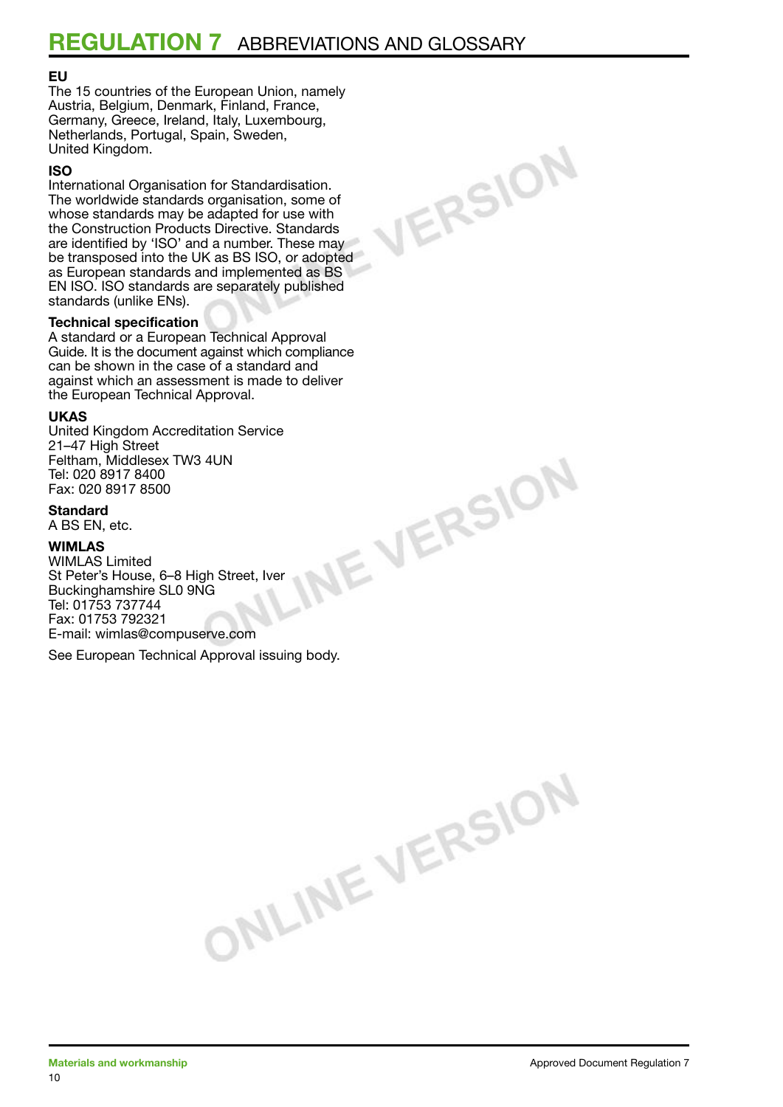#### **EU**

The 15 countries of the European Union, namely Austria, Belgium, Denmark, Finland, France, Germany, Greece, Ireland, Italy, Luxembourg, Netherlands, Portugal, Spain, Sweden, United Kingdom.

#### **ISO**

International Organisation for Standardisation. The worldwide standards organisation, some of whose standards may be adapted for use with the Construction Products Directive. Standards are identified by 'ISO' and a number. These may be transposed into the UK as BS ISO, or adopted as European standards and implemented as BS EN ISO. ISO standards are separately published standards (unlike ENs).

#### **Technical specification**

A standard or a European Technical Approval Guide. It is the document against which compliance can be shown in the case of a standard and against which an assessment is made to deliver the European Technical Approval.

#### **UKAS**

United Kingdom Accreditation Service 21–47 High Street Feltham, Middlesex TW3 4UN Tel: 020 8917 8400 Fax: 020 8917 8500

### **Standard**

A BS EN, etc.

#### **WIMLAS**

WIMLAS Limited St Peter's House, 6–8 High Street, Iver Buckinghamshire SL0 9NG Tel: 01753 737744 Fax: 01753 792321 E-mail: wimlas@compuserve.com

See European Technical Approval issuing body.

ONLINE VERSION

VERSION

INE VERSION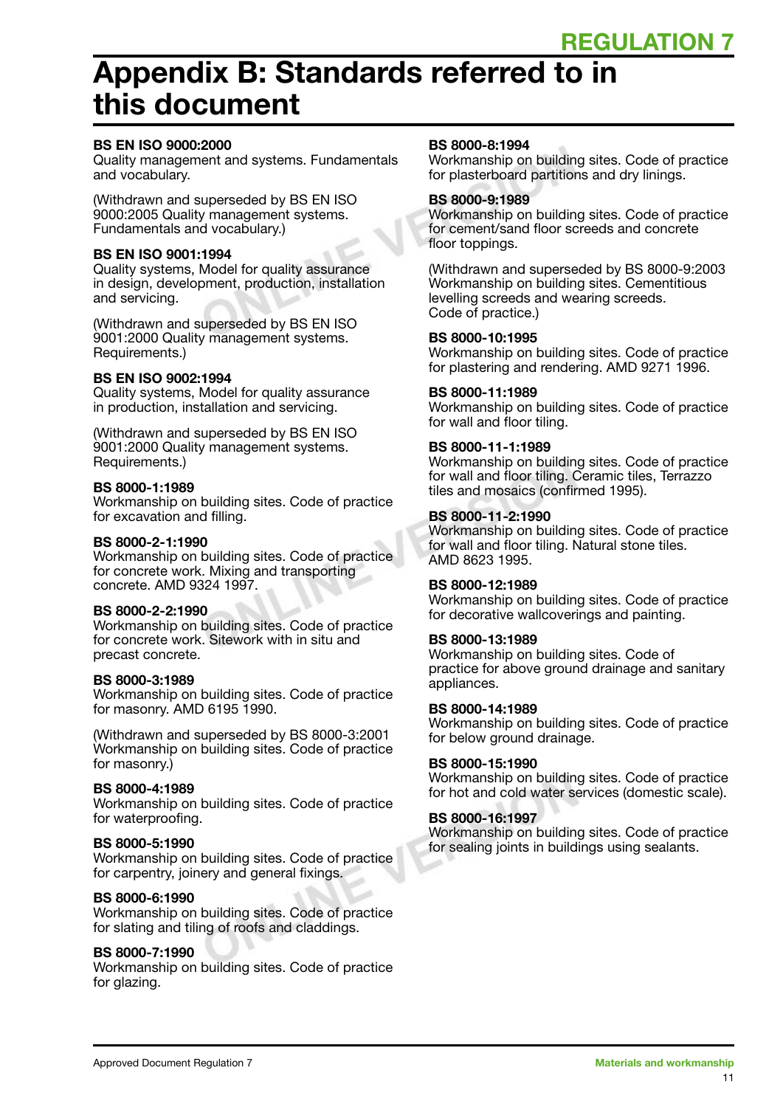# **Appendix B: Standards referred to in this document**

#### **BS EN ISO 9000:2000**

Quality management and systems. Fundamentals and vocabulary.

(Withdrawn and superseded by BS EN ISO 9000:2005 Quality management systems. Fundamentals and vocabulary.)

#### **BS EN ISO 9001:1994**

Quality systems, Model for quality assurance in design, development, production, installation and servicing.

(Withdrawn and superseded by BS EN ISO 9001:2000 Quality management systems. Requirements.)

#### **BS EN ISO 9002:1994**

Quality systems, Model for quality assurance in production, installation and servicing.

(Withdrawn and superseded by BS EN ISO 9001:2000 Quality management systems. Requirements.)

#### **BS 8000-1:1989**

Workmanship on building sites. Code of practice for excavation and filling.

#### **BS 8000-2-1:1990**

Workmanship on building sites. Code of practice for concrete work. Mixing and transporting concrete. AMD 9324 1997.

#### **BS 8000-2-2:1990**

Workmanship on building sites. Code of practice for concrete work. Sitework with in situ and precast concrete.

#### **BS 8000-3:1989**

Workmanship on building sites. Code of practice for masonry. AMD 6195 1990.

(Withdrawn and superseded by BS 8000-3:2001 Workmanship on building sites. Code of practice for masonry.)

#### **BS 8000-4:1989**

Workmanship on building sites. Code of practice for waterproofing.

#### **BS 8000-5:1990**

Workmanship on building sites. Code of practice for carpentry, joinery and general fixings.

#### **BS 8000-6:1990**

Workmanship on building sites. Code of practice for slating and tiling of roofs and claddings.

#### **BS 8000-7:1990**

Workmanship on building sites. Code of practice for glazing.

#### **BS 8000-8:1994**

Workmanship on building sites. Code of practice for plasterboard partitions and dry linings.

#### **BS 8000-9:1989**

Workmanship on building sites. Code of practice for cement/sand floor screeds and concrete floor toppings.

(Withdrawn and superseded by BS 8000-9:2003 Workmanship on building sites. Cementitious levelling screeds and wearing screeds. Code of practice.)

#### **BS 8000-10:1995**

Workmanship on building sites. Code of practice for plastering and rendering. AMD 9271 1996.

#### **BS 8000-11:1989**

Workmanship on building sites. Code of practice for wall and floor tiling.

#### **BS 8000-11-1:1989**

Workmanship on building sites. Code of practice for wall and floor tiling. Ceramic tiles, Terrazzo tiles and mosaics (confirmed 1995).

#### **BS 8000-11-2:1990**

Workmanship on building sites. Code of practice for wall and floor tiling. Natural stone tiles. AMD 8623 1995.

#### **BS 8000-12:1989**

Workmanship on building sites. Code of practice for decorative wallcoverings and painting.

#### **BS 8000-13:1989**

Workmanship on building sites. Code of practice for above ground drainage and sanitary appliances.

#### **BS 8000-14:1989**

Workmanship on building sites. Code of practice for below ground drainage.

#### **BS 8000-15:1990**

Workmanship on building sites. Code of practice for hot and cold water services (domestic scale).

#### **BS 8000-16:1997**

Workmanship on building sites. Code of practice for sealing joints in buildings using sealants.